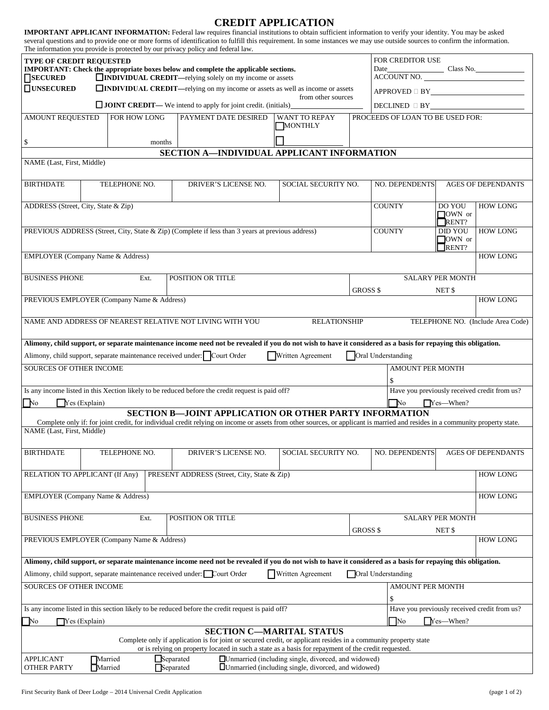## **CREDIT APPLICATION**

|                                                                                                                                                                                                                                                           |                                                                                                    |                   |                      | <b>IMPORTANT APPLICANT INFORMATION:</b> Federal law requires financial institutions to obtain sufficient information to verify your identity. You may be asked<br>several questions and to provide one or more forms of identification to fulfill this requirement. In some instances we may use outside sources to confirm the information. |                           |                                      |                                                                                                   |                                   |  |  |  |  |
|-----------------------------------------------------------------------------------------------------------------------------------------------------------------------------------------------------------------------------------------------------------|----------------------------------------------------------------------------------------------------|-------------------|----------------------|----------------------------------------------------------------------------------------------------------------------------------------------------------------------------------------------------------------------------------------------------------------------------------------------------------------------------------------------|---------------------------|--------------------------------------|---------------------------------------------------------------------------------------------------|-----------------------------------|--|--|--|--|
| The information you provide is protected by our privacy policy and federal law.<br>TYPE OF CREDIT REQUESTED<br>IMPORTANT: Check the appropriate boxes below and complete the applicable sections.                                                         |                                                                                                    |                   |                      |                                                                                                                                                                                                                                                                                                                                              |                           |                                      | FOR CREDITOR USE                                                                                  |                                   |  |  |  |  |
| <b>SECURED</b>                                                                                                                                                                                                                                            | <b>INDIVIDUAL CREDIT</b> —relying solely on my income or assets                                    |                   |                      |                                                                                                                                                                                                                                                                                                                                              |                           |                                      |                                                                                                   |                                   |  |  |  |  |
| $\square$ UNSECURED<br>$\Box$ INDIVIDUAL CREDIT—relying on my income or assets as well as income or assets                                                                                                                                                |                                                                                                    |                   |                      |                                                                                                                                                                                                                                                                                                                                              |                           |                                      | $\texttt{APPROVED} \; \Box \; \texttt{BY} \underline{\hspace{2.5cm}} \underbrace{\hspace{2.5cm}}$ |                                   |  |  |  |  |
| from other sources<br>$\Box$ JOINT CREDIT— We intend to apply for joint credit. (initials)                                                                                                                                                                |                                                                                                    |                   |                      |                                                                                                                                                                                                                                                                                                                                              |                           |                                      |                                                                                                   |                                   |  |  |  |  |
|                                                                                                                                                                                                                                                           | FOR HOW LONG<br>PAYMENT DATE DESIRED<br><b>AMOUNT REQUESTED</b><br><b>WANT TO REPAY</b><br>MONTHLY |                   |                      |                                                                                                                                                                                                                                                                                                                                              |                           |                                      | PROCEEDS OF LOAN TO BE USED FOR:                                                                  |                                   |  |  |  |  |
| \$                                                                                                                                                                                                                                                        |                                                                                                    | months            |                      |                                                                                                                                                                                                                                                                                                                                              |                           |                                      |                                                                                                   |                                   |  |  |  |  |
| SECTION A-INDIVIDUAL APPLICANT INFORMATION                                                                                                                                                                                                                |                                                                                                    |                   |                      |                                                                                                                                                                                                                                                                                                                                              |                           |                                      |                                                                                                   |                                   |  |  |  |  |
| NAME (Last, First, Middle)                                                                                                                                                                                                                                |                                                                                                    |                   |                      |                                                                                                                                                                                                                                                                                                                                              |                           |                                      |                                                                                                   |                                   |  |  |  |  |
|                                                                                                                                                                                                                                                           |                                                                                                    |                   |                      |                                                                                                                                                                                                                                                                                                                                              |                           |                                      |                                                                                                   |                                   |  |  |  |  |
| <b>BIRTHDATE</b>                                                                                                                                                                                                                                          | TELEPHONE NO.<br>DRIVER'S LICENSE NO.<br>SOCIAL SECURITY NO.                                       |                   |                      |                                                                                                                                                                                                                                                                                                                                              |                           | NO. DEPENDENTS<br>AGES OF DEPENDANTS |                                                                                                   |                                   |  |  |  |  |
| ADDRESS (Street, City, State & Zip)                                                                                                                                                                                                                       |                                                                                                    |                   |                      |                                                                                                                                                                                                                                                                                                                                              |                           | <b>COUNTY</b>                        | DO YOU<br>$\Box$ OWN or                                                                           | <b>HOW LONG</b>                   |  |  |  |  |
|                                                                                                                                                                                                                                                           |                                                                                                    |                   |                      |                                                                                                                                                                                                                                                                                                                                              |                           | <b>COUNTY</b>                        | RENT?<br><b>DID YOU</b>                                                                           | <b>HOW LONG</b>                   |  |  |  |  |
|                                                                                                                                                                                                                                                           | PREVIOUS ADDRESS (Street, City, State & Zip) (Complete if less than 3 years at previous address)   |                   |                      |                                                                                                                                                                                                                                                                                                                                              |                           |                                      | $\sqrt{\text{OWN}}$ or<br>RENT?                                                                   |                                   |  |  |  |  |
| <b>EMPLOYER</b> (Company Name & Address)                                                                                                                                                                                                                  |                                                                                                    |                   |                      |                                                                                                                                                                                                                                                                                                                                              |                           |                                      |                                                                                                   | <b>HOW LONG</b>                   |  |  |  |  |
| <b>BUSINESS PHONE</b>                                                                                                                                                                                                                                     | Ext.                                                                                               | POSITION OR TITLE |                      |                                                                                                                                                                                                                                                                                                                                              |                           | <b>SALARY PER MONTH</b>              |                                                                                                   |                                   |  |  |  |  |
|                                                                                                                                                                                                                                                           |                                                                                                    |                   |                      |                                                                                                                                                                                                                                                                                                                                              | GROSS \$                  | NET <sub>\$</sub>                    |                                                                                                   |                                   |  |  |  |  |
| PREVIOUS EMPLOYER (Company Name & Address)                                                                                                                                                                                                                |                                                                                                    |                   |                      |                                                                                                                                                                                                                                                                                                                                              |                           |                                      |                                                                                                   | <b>HOW LONG</b>                   |  |  |  |  |
|                                                                                                                                                                                                                                                           | NAME AND ADDRESS OF NEAREST RELATIVE NOT LIVING WITH YOU                                           |                   |                      | <b>RELATIONSHIP</b>                                                                                                                                                                                                                                                                                                                          |                           |                                      |                                                                                                   | TELEPHONE NO. (Include Area Code) |  |  |  |  |
|                                                                                                                                                                                                                                                           |                                                                                                    |                   |                      | Alimony, child support, or separate maintenance income need not be revealed if you do not wish to have it considered as a basis for repaying this obligation.                                                                                                                                                                                |                           |                                      |                                                                                                   |                                   |  |  |  |  |
|                                                                                                                                                                                                                                                           | Alimony, child support, separate maintenance received under: Court Order                           |                   |                      | Written Agreement                                                                                                                                                                                                                                                                                                                            | Oral Understanding        |                                      |                                                                                                   |                                   |  |  |  |  |
| <b>SOURCES OF OTHER INCOME</b>                                                                                                                                                                                                                            |                                                                                                    |                   |                      |                                                                                                                                                                                                                                                                                                                                              |                           | <b>AMOUNT PER MONTH</b>              |                                                                                                   |                                   |  |  |  |  |
|                                                                                                                                                                                                                                                           |                                                                                                    |                   |                      |                                                                                                                                                                                                                                                                                                                                              |                           |                                      |                                                                                                   |                                   |  |  |  |  |
| Is any income listed in this Xection likely to be reduced before the credit request is paid off?                                                                                                                                                          |                                                                                                    |                   |                      |                                                                                                                                                                                                                                                                                                                                              |                           |                                      | Have you previously received credit from us?                                                      |                                   |  |  |  |  |
| $Y$ es (Explain)<br>No<br>No<br>$Yes-When?$<br><b>SECTION B-JOINT APPLICATION OR OTHER PARTY INFORMATION</b>                                                                                                                                              |                                                                                                    |                   |                      |                                                                                                                                                                                                                                                                                                                                              |                           |                                      |                                                                                                   |                                   |  |  |  |  |
|                                                                                                                                                                                                                                                           |                                                                                                    |                   |                      | Complete only if: for joint credit, for individual credit relying on income or assets from other sources, or applicant is married and resides in a community property state.                                                                                                                                                                 |                           |                                      |                                                                                                   |                                   |  |  |  |  |
| NAME (Last, First, Middle)                                                                                                                                                                                                                                |                                                                                                    |                   |                      |                                                                                                                                                                                                                                                                                                                                              |                           |                                      |                                                                                                   |                                   |  |  |  |  |
|                                                                                                                                                                                                                                                           |                                                                                                    |                   |                      |                                                                                                                                                                                                                                                                                                                                              |                           |                                      |                                                                                                   |                                   |  |  |  |  |
| <b>BIRTHDATE</b>                                                                                                                                                                                                                                          | TELEPHONE NO.                                                                                      |                   | DRIVER'S LICENSE NO. | SOCIAL SECURITY NO.                                                                                                                                                                                                                                                                                                                          |                           | <b>NO. DEPENDENTS</b>                |                                                                                                   | <b>AGES OF DEPENDANTS</b>         |  |  |  |  |
| RELATION TO APPLICANT (If Any)<br>PRESENT ADDRESS (Street, City, State & Zip)                                                                                                                                                                             |                                                                                                    |                   |                      |                                                                                                                                                                                                                                                                                                                                              |                           |                                      |                                                                                                   |                                   |  |  |  |  |
| <b>EMPLOYER</b> (Company Name & Address)                                                                                                                                                                                                                  |                                                                                                    |                   |                      |                                                                                                                                                                                                                                                                                                                                              |                           |                                      |                                                                                                   |                                   |  |  |  |  |
| <b>BUSINESS PHONE</b><br>POSITION OR TITLE<br>Ext.                                                                                                                                                                                                        |                                                                                                    |                   |                      |                                                                                                                                                                                                                                                                                                                                              |                           |                                      | <b>SALARY PER MONTH</b>                                                                           |                                   |  |  |  |  |
|                                                                                                                                                                                                                                                           |                                                                                                    |                   |                      |                                                                                                                                                                                                                                                                                                                                              | GROSS \$                  | NET \$                               |                                                                                                   |                                   |  |  |  |  |
|                                                                                                                                                                                                                                                           | PREVIOUS EMPLOYER (Company Name & Address)                                                         |                   |                      |                                                                                                                                                                                                                                                                                                                                              |                           |                                      |                                                                                                   | <b>HOW LONG</b>                   |  |  |  |  |
|                                                                                                                                                                                                                                                           |                                                                                                    |                   |                      | Alimony, child support, or separate maintenance income need not be revealed if you do not wish to have it considered as a basis for repaying this obligation.                                                                                                                                                                                |                           |                                      |                                                                                                   |                                   |  |  |  |  |
|                                                                                                                                                                                                                                                           | Alimony, child support, separate maintenance received under: Court Order                           |                   |                      | Written Agreement                                                                                                                                                                                                                                                                                                                            | <b>Oral Understanding</b> |                                      |                                                                                                   |                                   |  |  |  |  |
| <b>SOURCES OF OTHER INCOME</b>                                                                                                                                                                                                                            |                                                                                                    |                   |                      |                                                                                                                                                                                                                                                                                                                                              |                           | AMOUNT PER MONTH                     |                                                                                                   |                                   |  |  |  |  |
|                                                                                                                                                                                                                                                           |                                                                                                    |                   |                      |                                                                                                                                                                                                                                                                                                                                              |                           |                                      | \$                                                                                                |                                   |  |  |  |  |
| Is any income listed in this section likely to be reduced before the credit request is paid off?                                                                                                                                                          |                                                                                                    |                   |                      |                                                                                                                                                                                                                                                                                                                                              |                           |                                      | Have you previously received credit from us?                                                      |                                   |  |  |  |  |
| $\Box$ Yes (Explain)<br>No                                                                                                                                                                                                                                |                                                                                                    |                   |                      |                                                                                                                                                                                                                                                                                                                                              |                           |                                      | $\Box$ No<br>Yes—When?                                                                            |                                   |  |  |  |  |
| <b>SECTION C-MARITAL STATUS</b><br>Complete only if application is for joint or secured credit, or applicant resides in a community property state<br>or is relying on property located in such a state as a basis for repayment of the credit requested. |                                                                                                    |                   |                      |                                                                                                                                                                                                                                                                                                                                              |                           |                                      |                                                                                                   |                                   |  |  |  |  |
| □ Unmarried (including single, divorced, and widowed)<br>Separated<br><b>APPLICANT</b><br>Married<br>Married<br><b>I</b> Unmarried (including single, divorced, and widowed)<br><b>OTHER PARTY</b><br>Separated                                           |                                                                                                    |                   |                      |                                                                                                                                                                                                                                                                                                                                              |                           |                                      |                                                                                                   |                                   |  |  |  |  |